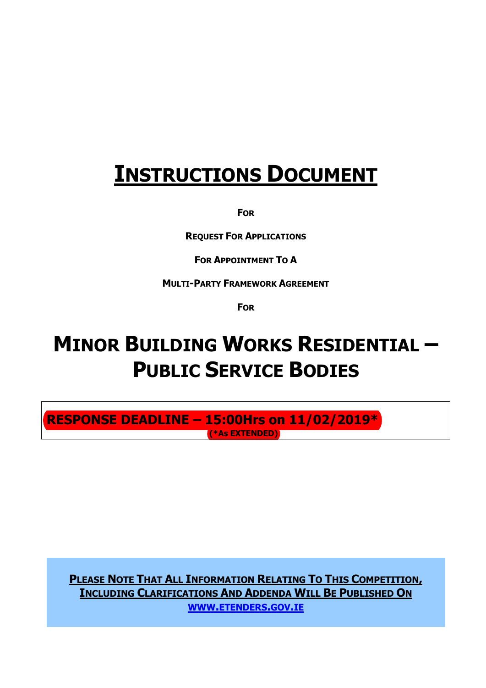# **INSTRUCTIONS DOCUMENT**

**FOR**

**REQUEST FOR APPLICATIONS**

**FOR APPOINTMENT TO A**

**MULTI-PARTY FRAMEWORK AGREEMENT**

**FOR**

# **MINOR BUILDING WORKS RESIDENTIAL – PUBLIC SERVICE BODIES**

**RESPONSE DEADLINE – 15:00Hrs on 11/02/2019\* (\*As EXTENDED)**

**PLEASE NOTE THAT ALL INFORMATION RELATING TO THIS COMPETITION, INCLUDING CLARIFICATIONS AND ADDENDA WILL BE PUBLISHED ON WWW.[ETENDERS](http://www.etenders.gov.ie/).GOV.IE**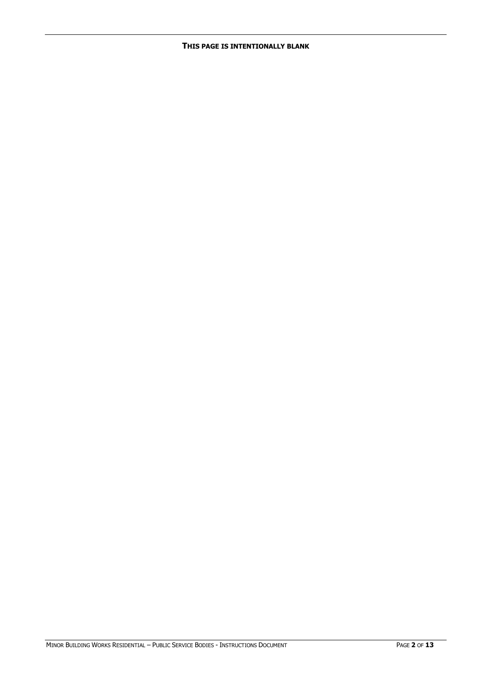#### THIS PAGE IS INTENTIONALLY BLANK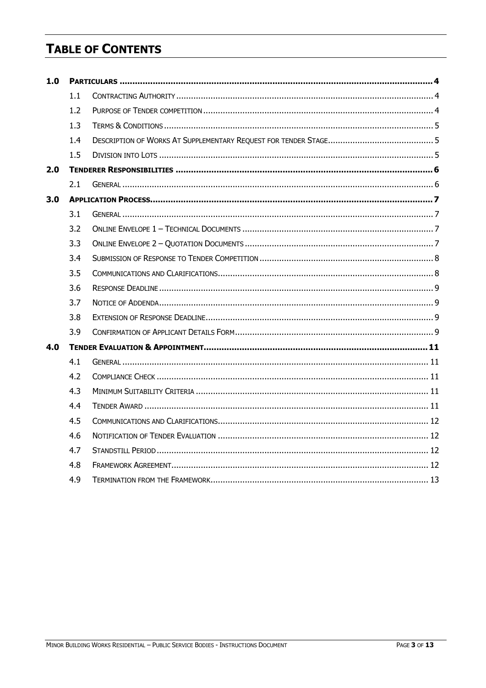# **TABLE OF CONTENTS**

| 1.0 |     |  |  |  |
|-----|-----|--|--|--|
|     | 1.1 |  |  |  |
|     | 1.2 |  |  |  |
|     | 1.3 |  |  |  |
|     | 1.4 |  |  |  |
|     | 1.5 |  |  |  |
| 2.0 |     |  |  |  |
|     | 2.1 |  |  |  |
| 3.0 |     |  |  |  |
|     | 3.1 |  |  |  |
|     | 3.2 |  |  |  |
|     | 3.3 |  |  |  |
|     | 3.4 |  |  |  |
|     | 3.5 |  |  |  |
|     | 3.6 |  |  |  |
|     | 3.7 |  |  |  |
|     | 3.8 |  |  |  |
|     | 3.9 |  |  |  |
| 4.0 |     |  |  |  |
|     | 4.1 |  |  |  |
|     | 4.2 |  |  |  |
|     | 4.3 |  |  |  |
|     | 4.4 |  |  |  |
|     | 4.5 |  |  |  |
|     | 4.6 |  |  |  |
|     | 4.7 |  |  |  |
|     | 4.8 |  |  |  |
|     | 4.9 |  |  |  |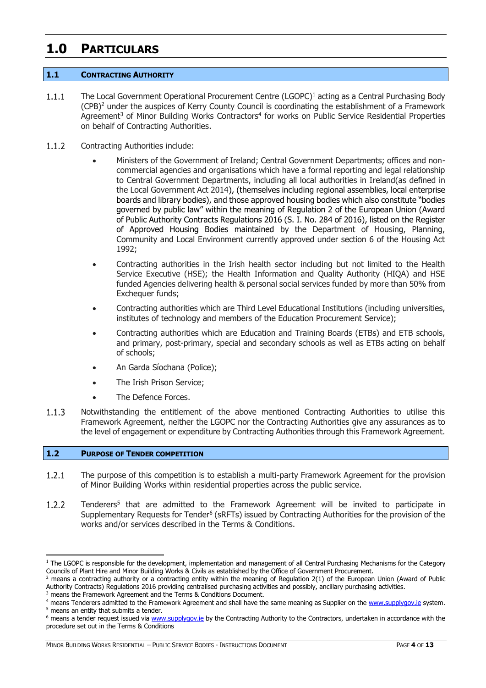## <span id="page-3-0"></span>**1.0 PARTICULARS**

### <span id="page-3-1"></span>**1.1 CONTRACTING AUTHORITY**

- $1.1.1$ The Local Government Operational Procurement Centre (LGOPC)<sup>1</sup> acting as a Central Purchasing Body  $(CPB)<sup>2</sup>$  under the auspices of Kerry County Council is coordinating the establishment of a Framework Agreement<sup>3</sup> of Minor Building Works Contractors<sup>4</sup> for works on Public Service Residential Properties on behalf of Contracting Authorities.
- $1.1.2$ Contracting Authorities include:
	- Ministers of the Government of Ireland; Central Government Departments; offices and noncommercial agencies and organisations which have a formal reporting and legal relationship to Central Government Departments, including all local authorities in Ireland(as defined in the Local Government Act 2014), (themselves including regional assemblies, local enterprise boards and library bodies), and those approved housing bodies which also constitute "bodies governed by public law" within the meaning of Regulation 2 of the European Union (Award of Public Authority Contracts Regulations 2016 (S. I. No. 284 of 2016), listed on the Register of Approved Housing Bodies maintained by the Department of Housing, Planning, Community and Local Environment currently approved under section 6 of the Housing Act 1992;
	- Contracting authorities in the Irish health sector including but not limited to the Health Service Executive (HSE); the Health Information and Quality Authority (HIQA) and HSE funded Agencies delivering health & personal social services funded by more than 50% from Exchequer funds;
	- Contracting authorities which are Third Level Educational Institutions (including universities, institutes of technology and members of the Education Procurement Service);
	- Contracting authorities which are Education and Training Boards (ETBs) and ETB schools, and primary, post-primary, special and secondary schools as well as ETBs acting on behalf of schools;
	- An Garda Síochana (Police);
	- The Irish Prison Service;
	- The Defence Forces.
- Notwithstanding the entitlement of the above mentioned Contracting Authorities to utilise this  $1.1.3$ Framework Agreement, neither the LGOPC nor the Contracting Authorities give any assurances as to the level of engagement or expenditure by Contracting Authorities through this Framework Agreement.

### <span id="page-3-2"></span>**1.2 PURPOSE OF TENDER COMPETITION**

- $1.2.1$ The purpose of this competition is to establish a multi-party Framework Agreement for the provision of Minor Building Works within residential properties across the public service.
- $1.2.2$ Tenderers<sup>5</sup> that are admitted to the Framework Agreement will be invited to participate in Supplementary Requests for Tender<sup>6</sup> (SRFTs) issued by Contracting Authorities for the provision of the works and/or services described in the Terms & Conditions.

<sup>5</sup> means an entity that submits a tender.

<sup>-</sup><sup>1</sup> The LGOPC is responsible for the development, implementation and management of all Central Purchasing Mechanisms for the Category Councils of Plant Hire and Minor Building Works & Civils as established by the Office of Government Procurement.

<sup>2</sup> means a contracting authority or a contracting entity within the meaning of Regulation 2(1) of the European Union (Award of Public Authority Contracts) Regulations 2016 providing centralised purchasing activities and possibly, ancillary purchasing activities.

<sup>3</sup> means the Framework Agreement and the Terms & Conditions Document.

<sup>&</sup>lt;sup>4</sup> means Tenderers admitted to the Framework Agreement and shall have the same meaning as Supplier on the [www.supplygov.ie](http://www.supplygov.ie/) system.

<sup>&</sup>lt;sup>6</sup> means a tender request issued vi[a www.supplygov.ie](http://www.supplygov.ie/) by the Contracting Authority to the Contractors, undertaken in accordance with the procedure set out in the Terms & Conditions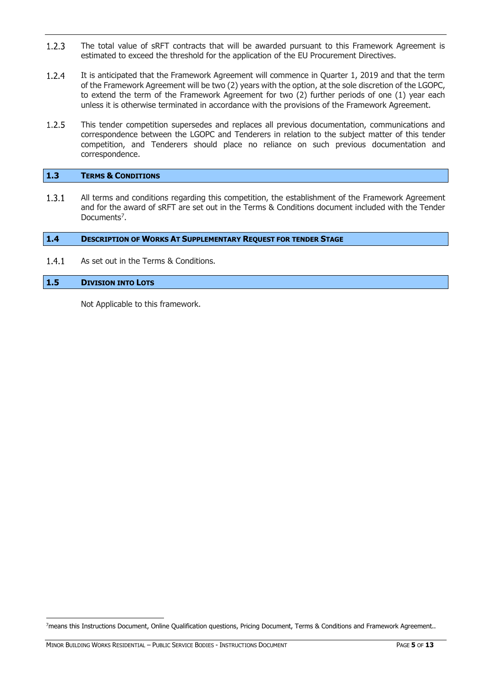- $1.2.3$ The total value of sRFT contracts that will be awarded pursuant to this Framework Agreement is estimated to exceed the threshold for the application of the EU Procurement Directives.
- $1.2.4$ It is anticipated that the Framework Agreement will commence in Quarter 1, 2019 and that the term of the Framework Agreement will be two (2) years with the option, at the sole discretion of the LGOPC, to extend the term of the Framework Agreement for two (2) further periods of one (1) year each unless it is otherwise terminated in accordance with the provisions of the Framework Agreement.
- $1.2.5$ This tender competition supersedes and replaces all previous documentation, communications and correspondence between the LGOPC and Tenderers in relation to the subject matter of this tender competition, and Tenderers should place no reliance on such previous documentation and correspondence.

### <span id="page-4-0"></span>**1.3 TERMS & CONDITIONS**

 $1.3.1$ All terms and conditions regarding this competition, the establishment of the Framework Agreement and for the award of sRFT are set out in the Terms & Conditions document included with the Tender Documents<sup>7</sup>.

#### <span id="page-4-1"></span>**1.4 DESCRIPTION OF WORKS AT SUPPLEMENTARY REQUEST FOR TENDER STAGE**

 $1.4.1$ As set out in the Terms & Conditions.

#### <span id="page-4-2"></span>**1.5 DIVISION INTO LOTS**

-

Not Applicable to this framework.

<sup>&</sup>lt;sup>7</sup>means this Instructions Document, Online Qualification questions, Pricing Document, Terms & Conditions and Framework Agreement..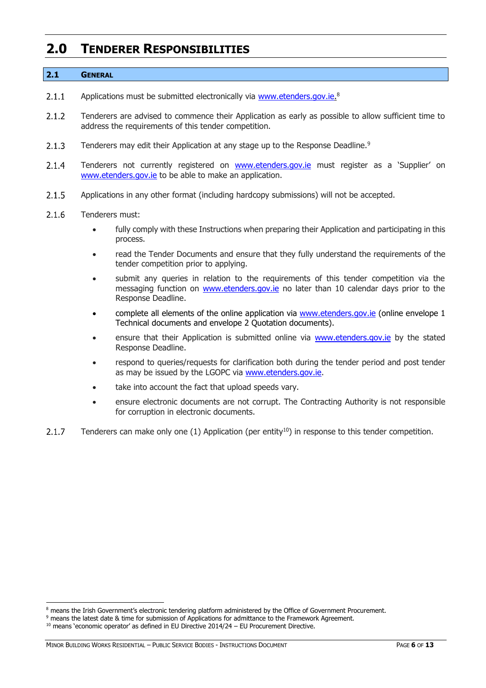## <span id="page-5-0"></span>**2.0 TENDERER RESPONSIBILITIES**

#### <span id="page-5-1"></span>**2.1 GENERAL**

- $2.1.1$ Applications must be submitted electronically via <u>www.etenders.gov.ie.</u>8
- $2.1.2$ Tenderers are advised to commence their Application as early as possible to allow sufficient time to address the requirements of this tender competition.
- $2.1.3$ Tenderers may edit their Application at any stage up to the Response Deadline.<sup>9</sup>
- $2.1.4$ Tenderers not currently registered on **[www.etenders.gov.ie](http://www.etenders.gov.ie/)** must register as a 'Supplier' on [www.etenders.gov.ie](http://www.etenders.gov.ie/) to be able to make an application.
- $2.1.5$ Applications in any other format (including hardcopy submissions) will not be accepted.
- $2.1.6$ Tenderers must:

-

- fully comply with these Instructions when preparing their Application and participating in this process.
- read the Tender Documents and ensure that they fully understand the requirements of the tender competition prior to applying.
- submit any queries in relation to the requirements of this tender competition via the messaging function on [www.etenders.gov.ie](http://www.etenders.gov.ie/) no later than 10 calendar days prior to the Response Deadline.
- complete all elements of the online application via [www.etenders.gov.ie](http://www.etenders.gov.ie/) (online envelope 1 Technical documents and envelope 2 Quotation documents).
- ensure that their Application is submitted online via [www.etenders.gov.ie](http://www.etenders.gov.ie/) by the stated Response Deadline.
- respond to queries/requests for clarification both during the tender period and post tender as may be issued by the LGOPC via [www.etenders.gov.ie.](http://www.etenders.gov.ie/)
- take into account the fact that upload speeds vary.
- ensure electronic documents are not corrupt. The Contracting Authority is not responsible for corruption in electronic documents.
- $2.1.7$ Tenderers can make only one  $(1)$  Application (per entity<sup>10</sup>) in response to this tender competition.

<sup>&</sup>lt;sup>8</sup> means the Irish Government's electronic tendering platform administered by the Office of Government Procurement.

<sup>&</sup>lt;sup>9</sup> means the latest date & time for submission of Applications for admittance to the Framework Agreement.

<sup>&</sup>lt;sup>10</sup> means 'economic operator' as defined in EU Directive 2014/24 – EU Procurement Directive.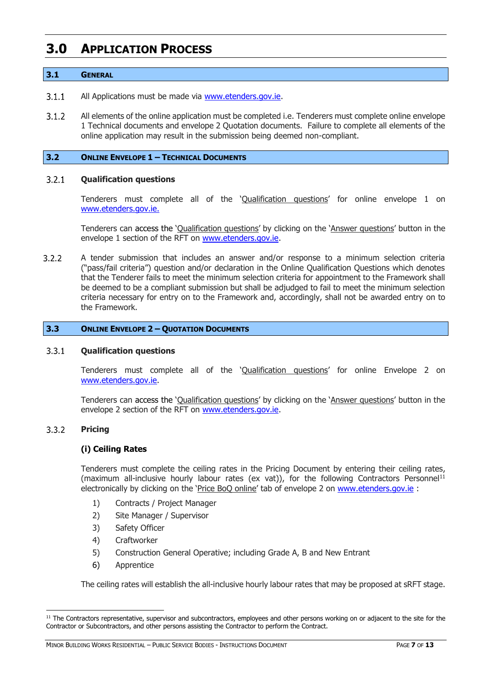## <span id="page-6-0"></span>**3.0 APPLICATION PROCESS**

#### <span id="page-6-1"></span>**3.1 GENERAL**

- $3.1.1$ All Applications must be made via [www.etenders.gov.ie.](http://www.etenders.gov.ie/)
- $3.1.2$ All elements of the online application must be completed i.e. Tenderers must complete online envelope 1 Technical documents and envelope 2 Quotation documents. Failure to complete all elements of the online application may result in the submission being deemed non-compliant.

## <span id="page-6-2"></span>**3.2 ONLINE ENVELOPE 1 – TECHNICAL DOCUMENTS**

#### $3.2.1$ **Qualification questions**

Tenderers must complete all of the 'Qualification questions' for online envelope 1 on [www.etenders.gov.ie.](http://www.etenders.gov.ie/)

Tenderers can access the 'Qualification questions' by clicking on the 'Answer questions' button in the envelope 1 section of the RFT on [www.etenders.gov.ie.](http://www.etenders.gov.ie/)

 $3.2.2$ A tender submission that includes an answer and/or response to a minimum selection criteria ("pass/fail criteria") question and/or declaration in the Online Qualification Questions which denotes that the Tenderer fails to meet the minimum selection criteria for appointment to the Framework shall be deemed to be a compliant submission but shall be adjudged to fail to meet the minimum selection criteria necessary for entry on to the Framework and, accordingly, shall not be awarded entry on to the Framework.

#### <span id="page-6-3"></span>**3.3 ONLINE ENVELOPE 2 – QUOTATION DOCUMENTS**

#### $3.3.1$ **Qualification questions**

Tenderers must complete all of the 'Qualification questions' for online Envelope 2 on [www.etenders.gov.ie.](http://www.etenders.gov.ie/)

Tenderers can access the 'Qualification questions' by clicking on the 'Answer questions' button in the envelope 2 section of the RFT on [www.etenders.gov.ie.](http://www.etenders.gov.ie/)

#### $3.3.2$ **Pricing**

-

#### **(i) Ceiling Rates**

Tenderers must complete the ceiling rates in the Pricing Document by entering their ceiling rates, (maximum all-inclusive hourly labour rates (ex vat)), for the following Contractors Personnel<sup>11</sup> electronically by clicking on the 'Price BoQ online' tab of envelope 2 on [www.etenders.gov.ie](http://www.etenders.gov.ie/) :

- 1) Contracts / Project Manager
- 2) Site Manager / Supervisor
- 3) Safety Officer
- 4) Craftworker
- 5) Construction General Operative; including Grade A, B and New Entrant
- 6) Apprentice

The ceiling rates will establish the all-inclusive hourly labour rates that may be proposed at sRFT stage.

<sup>&</sup>lt;sup>11</sup> The Contractors representative, supervisor and subcontractors, employees and other persons working on or adjacent to the site for the Contractor or Subcontractors, and other persons assisting the Contractor to perform the Contract.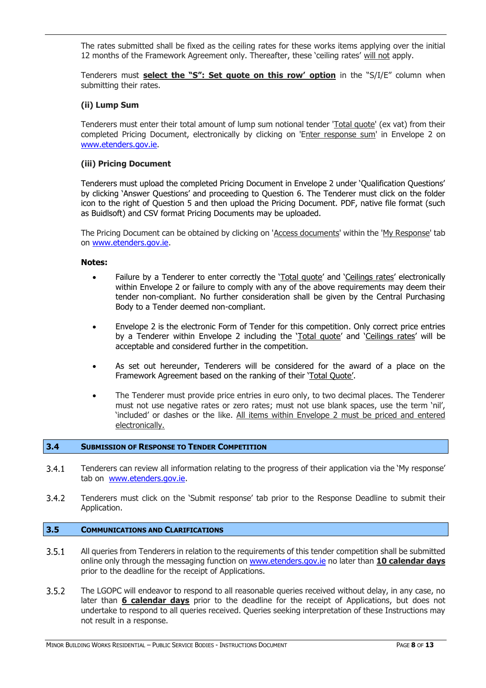The rates submitted shall be fixed as the ceiling rates for these works items applying over the initial 12 months of the Framework Agreement only. Thereafter, these 'ceiling rates' will not apply.

Tenderers must **select the "S": Set quote on this row' option** in the "S/I/E" column when submitting their rates.

#### **(ii) Lump Sum**

Tenderers must enter their total amount of lump sum notional tender 'Total quote' (ex vat) from their completed Pricing Document, electronically by clicking on 'Enter response sum' in Envelope 2 on [www.etenders.gov.ie.](http://www.etenders.gov.ie/)

#### **(iii) Pricing Document**

Tenderers must upload the completed Pricing Document in Envelope 2 under 'Qualification Questions' by clicking 'Answer Questions' and proceeding to Question 6. The Tenderer must click on the folder icon to the right of Question 5 and then upload the Pricing Document. PDF, native file format (such as Buidlsoft) and CSV format Pricing Documents may be uploaded.

The Pricing Document can be obtained by clicking on 'Access documents' within the 'My Response' tab on [www.etenders.gov.ie.](http://www.etenders.gov.ie/)

#### **Notes:**

- Failure by a Tenderer to enter correctly the 'Total quote' and 'Ceilings rates' electronically within Envelope 2 or failure to comply with any of the above requirements may deem their tender non-compliant. No further consideration shall be given by the Central Purchasing Body to a Tender deemed non-compliant.
- Envelope 2 is the electronic Form of Tender for this competition. Only correct price entries by a Tenderer within Envelope 2 including the 'Total quote' and 'Ceilings rates' will be acceptable and considered further in the competition.
- As set out hereunder, Tenderers will be considered for the award of a place on the Framework Agreement based on the ranking of their 'Total Quote'.
- The Tenderer must provide price entries in euro only, to two decimal places. The Tenderer must not use negative rates or zero rates; must not use blank spaces, use the term 'nil', 'included' or dashes or the like. All items within Envelope 2 must be priced and entered electronically.

#### <span id="page-7-0"></span>**3.4 SUBMISSION OF RESPONSE TO TENDER COMPETITION**

- $3.4.1$ Tenderers can review all information relating to the progress of their application via the 'My response' tab on [www.etenders.gov.ie.](http://www.etenders.gov.ie/)
- $3.4.2$ Tenderers must click on the 'Submit response' tab prior to the Response Deadline to submit their Application.

#### <span id="page-7-1"></span>**3.5 COMMUNICATIONS AND CLARIFICATIONS**

- $3.5.1$ All queries from Tenderers in relation to the requirements of this tender competition shall be submitted online only through the messaging function on [www.etenders.gov.ie](http://www.etenders.gov.ie/) no later than **10 calendar days** prior to the deadline for the receipt of Applications.
- $3.5.2$ The LGOPC will endeavor to respond to all reasonable queries received without delay, in any case, no later than **6 calendar days** prior to the deadline for the receipt of Applications, but does not undertake to respond to all queries received. Queries seeking interpretation of these Instructions may not result in a response.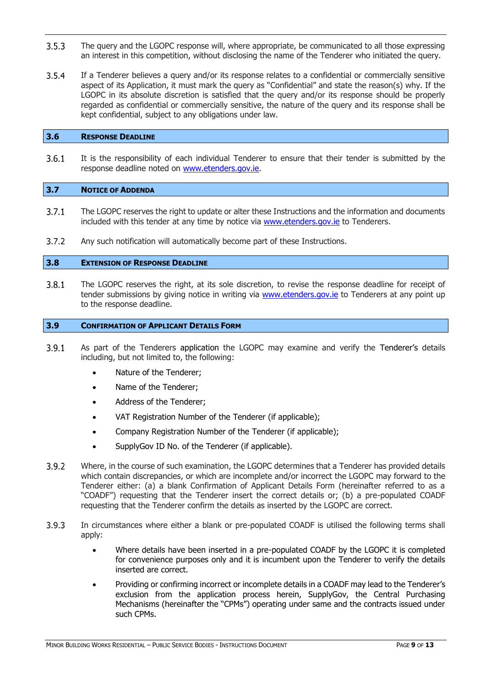- $3.5.3$ The query and the LGOPC response will, where appropriate, be communicated to all those expressing an interest in this competition, without disclosing the name of the Tenderer who initiated the query.
- $3.5.4$ If a Tenderer believes a query and/or its response relates to a confidential or commercially sensitive aspect of its Application, it must mark the query as "Confidential" and state the reason(s) why. If the LGOPC in its absolute discretion is satisfied that the query and/or its response should be properly regarded as confidential or commercially sensitive, the nature of the query and its response shall be kept confidential, subject to any obligations under law.

#### <span id="page-8-0"></span>**3.6 RESPONSE DEADLINE**

 $3.6.1$ It is the responsibility of each individual Tenderer to ensure that their tender is submitted by the response deadline noted on [www.etenders.gov.ie.](http://www.etenders.gov.ie/)

#### <span id="page-8-1"></span>**3.7 NOTICE OF ADDENDA**

- $3.7.1$ The LGOPC reserves the right to update or alter these Instructions and the information and documents included with this tender at any time by notice via [www.etenders.gov.ie](http://www.etenders.gov.ie/) to Tenderers.
- $3.7.2$ Any such notification will automatically become part of these Instructions.

#### <span id="page-8-2"></span>**3.8 EXTENSION OF RESPONSE DEADLINE**

 $3.8.1$ The LGOPC reserves the right, at its sole discretion, to revise the response deadline for receipt of tender submissions by giving notice in writing via www.etenders.gov.ie to Tenderers at any point up to the response deadline.

#### <span id="page-8-3"></span>**3.9 CONFIRMATION OF APPLICANT DETAILS FORM**

- $3.9.1$ As part of the Tenderers application the LGOPC may examine and verify the Tenderer's details including, but not limited to, the following:
	- Nature of the Tenderer;
	- Name of the Tenderer;
	- Address of the Tenderer;
	- VAT Registration Number of the Tenderer (if applicable);
	- Company Registration Number of the Tenderer (if applicable);
	- SupplyGov ID No. of the Tenderer (if applicable).
- $3.9.2$ Where, in the course of such examination, the LGOPC determines that a Tenderer has provided details which contain discrepancies, or which are incomplete and/or incorrect the LGOPC may forward to the Tenderer either: (a) a blank Confirmation of Applicant Details Form (hereinafter referred to as a "COADF") requesting that the Tenderer insert the correct details or; (b) a pre-populated COADF requesting that the Tenderer confirm the details as inserted by the LGOPC are correct.
- $3.9.3$ In circumstances where either a blank or pre-populated COADF is utilised the following terms shall apply:
	- Where details have been inserted in a pre-populated COADF by the LGOPC it is completed for convenience purposes only and it is incumbent upon the Tenderer to verify the details inserted are correct.
	- Providing or confirming incorrect or incomplete details in a COADF may lead to the Tenderer's exclusion from the application process herein, SupplyGov, the Central Purchasing Mechanisms (hereinafter the "CPMs") operating under same and the contracts issued under such CPMs.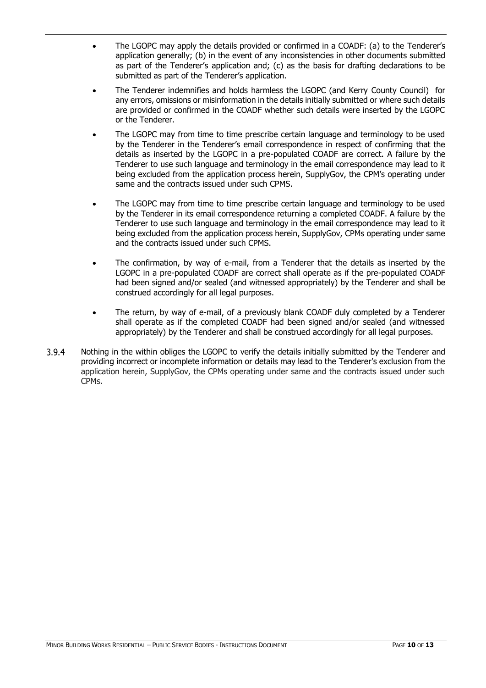- The LGOPC may apply the details provided or confirmed in a COADF: (a) to the Tenderer's application generally; (b) in the event of any inconsistencies in other documents submitted as part of the Tenderer's application and; (c) as the basis for drafting declarations to be submitted as part of the Tenderer's application.
- The Tenderer indemnifies and holds harmless the LGOPC (and Kerry County Council) for any errors, omissions or misinformation in the details initially submitted or where such details are provided or confirmed in the COADF whether such details were inserted by the LGOPC or the Tenderer.
- The LGOPC may from time to time prescribe certain language and terminology to be used by the Tenderer in the Tenderer's email correspondence in respect of confirming that the details as inserted by the LGOPC in a pre-populated COADF are correct. A failure by the Tenderer to use such language and terminology in the email correspondence may lead to it being excluded from the application process herein, SupplyGov, the CPM's operating under same and the contracts issued under such CPMS.
- The LGOPC may from time to time prescribe certain language and terminology to be used by the Tenderer in its email correspondence returning a completed COADF. A failure by the Tenderer to use such language and terminology in the email correspondence may lead to it being excluded from the application process herein, SupplyGov, CPMs operating under same and the contracts issued under such CPMS.
- The confirmation, by way of e-mail, from a Tenderer that the details as inserted by the LGOPC in a pre-populated COADF are correct shall operate as if the pre-populated COADF had been signed and/or sealed (and witnessed appropriately) by the Tenderer and shall be construed accordingly for all legal purposes.
- The return, by way of e-mail, of a previously blank COADF duly completed by a Tenderer shall operate as if the completed COADF had been signed and/or sealed (and witnessed appropriately) by the Tenderer and shall be construed accordingly for all legal purposes.
- $3.9.4$ Nothing in the within obliges the LGOPC to verify the details initially submitted by the Tenderer and providing incorrect or incomplete information or details may lead to the Tenderer's exclusion from the application herein, SupplyGov, the CPMs operating under same and the contracts issued under such CPMs.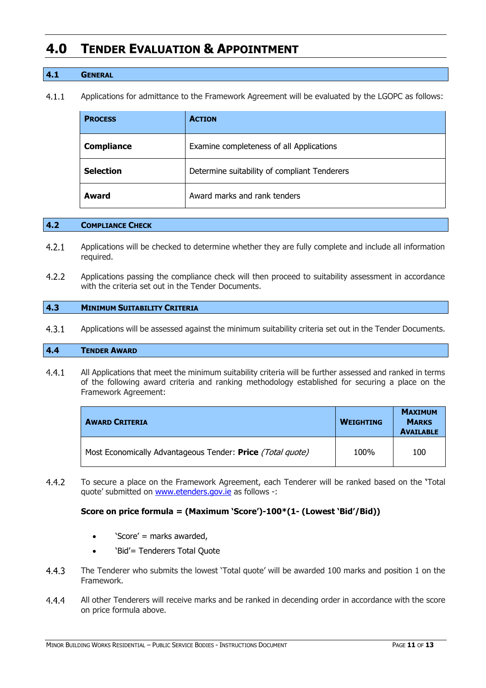## <span id="page-10-0"></span>**4.0 TENDER EVALUATION & APPOINTMENT**

#### <span id="page-10-1"></span>**4.1 GENERAL**

4.1.1 Applications for admittance to the Framework Agreement will be evaluated by the LGOPC as follows:

| <b>PROCESS</b>    | <b>ACTION</b>                                |
|-------------------|----------------------------------------------|
| <b>Compliance</b> | Examine completeness of all Applications     |
| <b>Selection</b>  | Determine suitability of compliant Tenderers |
| Award             | Award marks and rank tenders                 |

#### <span id="page-10-2"></span>**4.2 COMPLIANCE CHECK**

- $4.2.1$ Applications will be checked to determine whether they are fully complete and include all information required.
- $4.2.2$ Applications passing the compliance check will then proceed to suitability assessment in accordance with the criteria set out in the Tender Documents.

#### <span id="page-10-3"></span>**4.3 MINIMUM SUITABILITY CRITERIA**

 $4.3.1$ Applications will be assessed against the minimum suitability criteria set out in the Tender Documents.

#### <span id="page-10-4"></span>**4.4 TENDER AWARD**

441 All Applications that meet the minimum suitability criteria will be further assessed and ranked in terms of the following award criteria and ranking methodology established for securing a place on the Framework Agreement:

| <b>AWARD CRITERIA</b>                                      | <b>WEIGHTING</b> | <b>MAXIMUM</b><br><b>MARKS</b><br><b>AVAILABLE</b> |
|------------------------------------------------------------|------------------|----------------------------------------------------|
| Most Economically Advantageous Tender: Price (Total quote) | 100%             | 100                                                |

442 To secure a place on the Framework Agreement, each Tenderer will be ranked based on the **'**Total quote' submitted on [www.etenders.gov.ie](http://www.etenders.gov.ie/) as follows -:

#### **Score on price formula = (Maximum 'Score')-100\*(1- (Lowest 'Bid'/Bid))**

- 'Score' = marks awarded,
- 'Bid'= Tenderers Total Quote
- $4.4.3$ The Tenderer who submits the lowest 'Total quote' will be awarded 100 marks and position 1 on the Framework.
- $4.4.4$ All other Tenderers will receive marks and be ranked in decending order in accordance with the score on price formula above.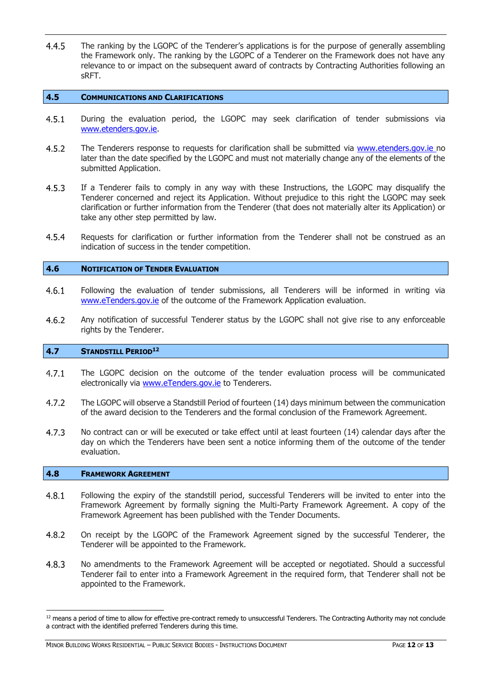4.4.5 The ranking by the LGOPC of the Tenderer's applications is for the purpose of generally assembling the Framework only. The ranking by the LGOPC of a Tenderer on the Framework does not have any relevance to or impact on the subsequent award of contracts by Contracting Authorities following an sRFT.

#### <span id="page-11-0"></span>**4.5 COMMUNICATIONS AND CLARIFICATIONS**

- $4.5.1$ During the evaluation period, the LGOPC may seek clarification of tender submissions via [www.etenders.gov.ie.](http://www.etenders.gov.ie/)
- $4.5.2$ The Tenderers response to requests for clarification shall be submitted via [www.etenders.gov.ie](http://www.etenders.gov.ie/) no later than the date specified by the LGOPC and must not materially change any of the elements of the submitted Application.
- $4.5.3$ If a Tenderer fails to comply in any way with these Instructions, the LGOPC may disqualify the Tenderer concerned and reject its Application. Without prejudice to this right the LGOPC may seek clarification or further information from the Tenderer (that does not materially alter its Application) or take any other step permitted by law.
- $4.5.4$ Requests for clarification or further information from the Tenderer shall not be construed as an indication of success in the tender competition.

#### <span id="page-11-1"></span>**4.6 NOTIFICATION OF TENDER EVALUATION**

- 4.6.1 Following the evaluation of tender submissions, all Tenderers will be informed in writing via [www.eTenders.gov.ie](http://www.etenders.gov.ie/) of the outcome of the Framework Application evaluation.
- $4.6.2$ Any notification of successful Tenderer status by the LGOPC shall not give rise to any enforceable rights by the Tenderer.

#### <span id="page-11-2"></span>**4.7 STANDSTILL PERIOD<sup>12</sup>**

- $4.7.1$ The LGOPC decision on the outcome of the tender evaluation process will be communicated electronically via **www.eTenders.gov.ie** to Tenderers.
- 4.7.2 The LGOPC will observe a Standstill Period of fourteen (14) days minimum between the communication of the award decision to the Tenderers and the formal conclusion of the Framework Agreement.
- No contract can or will be executed or take effect until at least fourteen (14) calendar days after the  $4.7.3$ day on which the Tenderers have been sent a notice informing them of the outcome of the tender evaluation.

#### <span id="page-11-3"></span>**4.8 FRAMEWORK AGREEMENT**

-

- $4.8.1$ Following the expiry of the standstill period, successful Tenderers will be invited to enter into the Framework Agreement by formally signing the Multi-Party Framework Agreement. A copy of the Framework Agreement has been published with the Tender Documents.
- 4.8.2 On receipt by the LGOPC of the Framework Agreement signed by the successful Tenderer, the Tenderer will be appointed to the Framework.
- 4.8.3 No amendments to the Framework Agreement will be accepted or negotiated. Should a successful Tenderer fail to enter into a Framework Agreement in the required form, that Tenderer shall not be appointed to the Framework.

 $12$  means a period of time to allow for effective pre-contract remedy to unsuccessful Tenderers. The Contracting Authority may not conclude a contract with the identified preferred Tenderers during this time.

MINOR BUILDING WORKS RESIDENTIAL – PUBLIC SERVICE BODIES - INSTRUCTIONS DOCUMENT PAGE **12** OF **13**